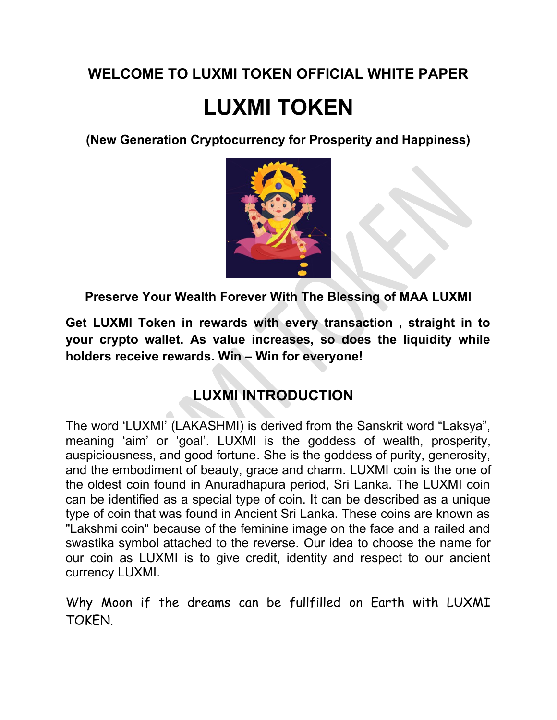#### **WELCOME TO LUXMI TOKEN OFFICIAL WHITE PAPER**

# **LUXMI TOKEN**

**(New Generation Cryptocurrency for Prosperity and Happiness)**



**Preserve Your Wealth Forever With The Blessing of MAA LUXMI**

**Get LUXMI Token in rewards with every transaction , straight in to your crypto wallet. As value increases, so does the liquidity while holders receive rewards. Win – Win for everyone!**

#### **LUXMI INTRODUCTION**

The word 'LUXMI' (LAKASHMI) is derived from the Sanskrit word "Laksya", meaning 'aim' or 'goal'. LUXMI is the goddess of wealth, prosperity, auspiciousness, and good fortune. She is the goddess of purity, generosity, and the embodiment of beauty, grace and charm. LUXMI coin is the one of the oldest coin found in Anuradhapura period, Sri Lanka. The LUXMI coin can be identified as a special type of coin. It can be described as a unique type of coin that was found in Ancient Sri Lanka. These coins are known as "Lakshmi coin" because of the feminine image on the face and a railed and swastika symbol attached to the reverse. Our idea to choose the name for our coin as LUXMI is to give credit, identity and respect to our ancient currency LUXMI.

Why Moon if the dreams can be fullfilled on Earth with LUXMI TOKEN.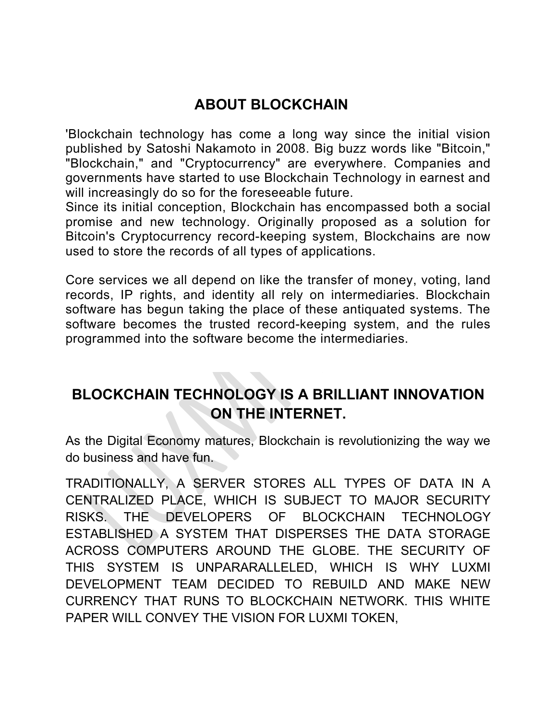#### **ABOUT BLOCKCHAIN**

'Blockchain technology has come a long way since the initial vision published by Satoshi Nakamoto in 2008. Big buzz words like "Bitcoin," "Blockchain," and "Cryptocurrency" are everywhere. Companies and governments have started to use Blockchain Technology in earnest and will increasingly do so for the foreseeable future.

Since its initial conception, Blockchain has encompassed both a social promise and new technology. Originally proposed as a solution for Bitcoin's Cryptocurrency record-keeping system, Blockchains are now used to store the records of all types of applications.

Core services we all depend on like the transfer of money, voting, land records, IP rights, and identity all rely on intermediaries. Blockchain software has begun taking the place of these antiquated systems. The software becomes the trusted record-keeping system, and the rules programmed into the software become the intermediaries.

#### **BLOCKCHAIN TECHNOLOGY IS A BRILLIANT INNOVATION ON THE INTERNET.**

As the Digital Economy matures, Blockchain is revolutionizing the way we do business and have fun.

TRADITIONALLY, A SERVER STORES ALL TYPES OF DATA IN A CENTRALIZED PLACE, WHICH IS SUBJECT TO MAJOR SECURITY RISKS. THE DEVELOPERS OF BLOCKCHAIN TECHNOLOGY ESTABLISHED A SYSTEM THAT DISPERSES THE DATA STORAGE ACROSS COMPUTERS AROUND THE GLOBE. THE SECURITY OF THIS SYSTEM IS UNPARARALLELED, WHICH IS WHY LUXMI DEVELOPMENT TEAM DECIDED TO REBUILD AND MAKE NEW CURRENCY THAT RUNS TO BLOCKCHAIN NETWORK. THIS WHITE PAPER WILL CONVEY THE VISION FOR LUXMI TOKEN,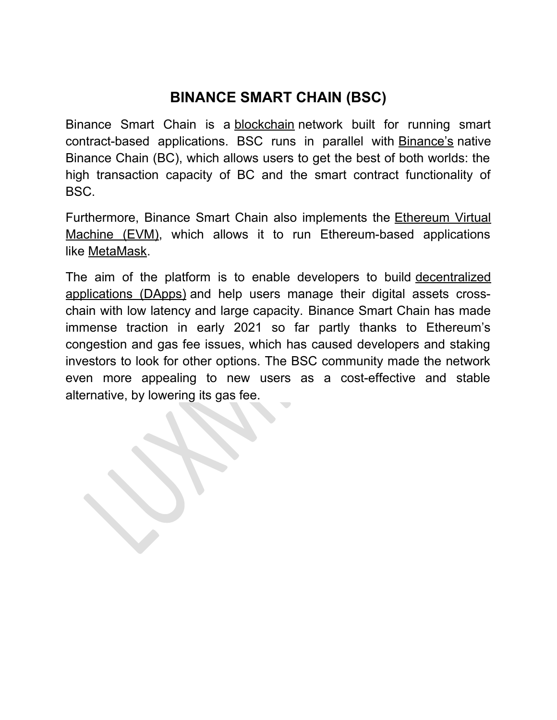#### **BINANCE SMART CHAIN (BSC)**

Binance Smart Chain is a [blockchain](https://coinmarketcap.com/alexandria/glossary/blockchain) network built for running smart contract-based applications. BSC runs in parallel with **[Binance's](https://coinmarketcap.com/exchanges/binance/)** native Binance Chain (BC), which allows users to get the best of both worlds: the high transaction capacity of BC and the smart contract functionality of BSC.

Furthermore, Binance Smart Chain also implements the [Ethereum Virtual](https://coinmarketcap.com/alexandria/glossary/ethereum-virtual-machine-evm) [Machine \(EVM\),](https://coinmarketcap.com/alexandria/glossary/ethereum-virtual-machine-evm) which allows it to run Ethereum-based applications like [MetaMask.](https://coinmarketcap.com/alexandria/glossary/metamask)

The aim of the platform is to enable developers to build [decentralized](https://coinmarketcap.com/alexandria/glossary/decentralized-applications-dapps) [applications \(DApps\)](https://coinmarketcap.com/alexandria/glossary/decentralized-applications-dapps) and help users manage their digital assets crosschain with low latency and large capacity. Binance Smart Chain has made immense traction in early 2021 so far partly thanks to Ethereum's congestion and gas fee issues, which has caused developers and staking investors to look for other options. The BSC community made the network even more appealing to new users as a cost-effective and stable alternative, by lowering its gas fee.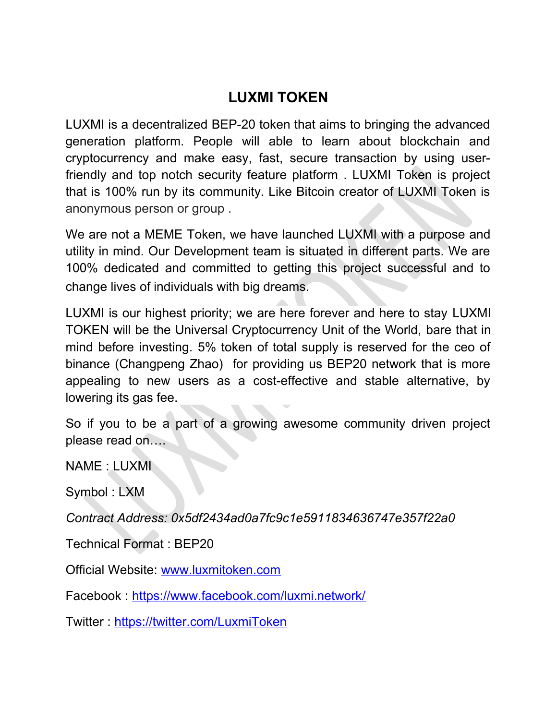#### **LUXMI TOKEN**

LUXMI is a decentralized BEP-20 token that aims to bringing the advanced generation platform. People will able to learn about blockchain and cryptocurrency and make easy, fast, secure transaction by using userfriendly and top notch security feature platform . LUXMI Token is project that is 100% run by its community. Like Bitcoin creator of LUXMI Token is anonymous person or group .

We are not a MEME Token, we have launched LUXMI with a purpose and utility in mind. Our Development team is situated in different parts. We are 100% dedicated and committed to getting this project successful and to change lives of individuals with big dreams.

LUXMI is our highest priority; we are here forever and here to stay LUXMI TOKEN will be the Universal Cryptocurrency Unit of the World, bare that in mind before investing. 5% token of total supply is reserved for the ceo of binance (Changpeng Zhao) for providing us BEP20 network that is more appealing to new users as a cost-effective and stable alternative, by lowering its gas fee.

So if you to be a part of a growing awesome community driven project please read on….

NAME : LUXMI

Symbol : LXM

*Contract Address: 0x5df2434ad0a7fc9c1e5911834636747e357f22a0*

Technical Format : BEP20

Official Website: [www.luxmitoken.com](http://www.luxmitoken.com/)

Facebook :<https://www.facebook.com/luxmi.network/>

Twitter : <https://twitter.com/LuxmiToken>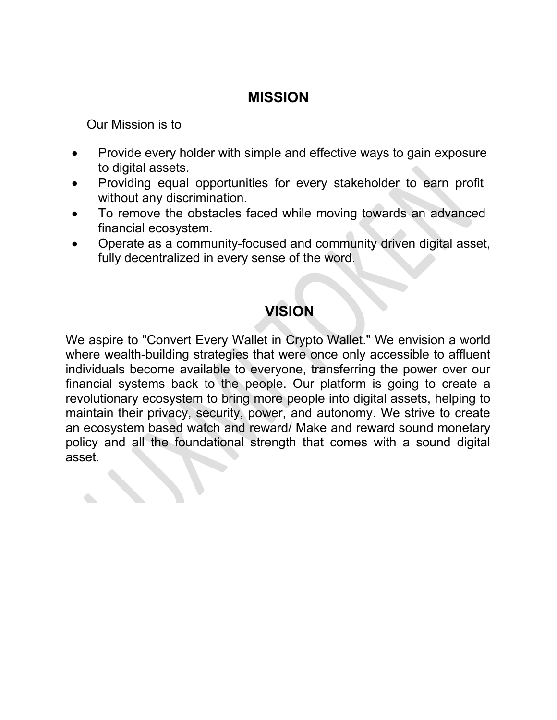#### **MISSION**

Our Mission is to

- Provide every holder with simple and effective ways to gain exposure to digital assets.
- Providing equal opportunities for every stakeholder to earn profit without any discrimination.
- To remove the obstacles faced while moving towards an advanced financial ecosystem.
- Operate as a community-focused and community driven digital asset, fully decentralized in every sense of the word.

#### **VISION**

We aspire to "Convert Every Wallet in Crypto Wallet." We envision a world where wealth-building strategies that were once only accessible to affluent individuals become available to everyone, transferring the power over our financial systems back to the people. Our platform is going to create a revolutionary ecosystem to bring more people into digital assets, helping to maintain their privacy, security, power, and autonomy. We strive to create an ecosystem based watch and reward/ Make and reward sound monetary policy and all the foundational strength that comes with a sound digital asset.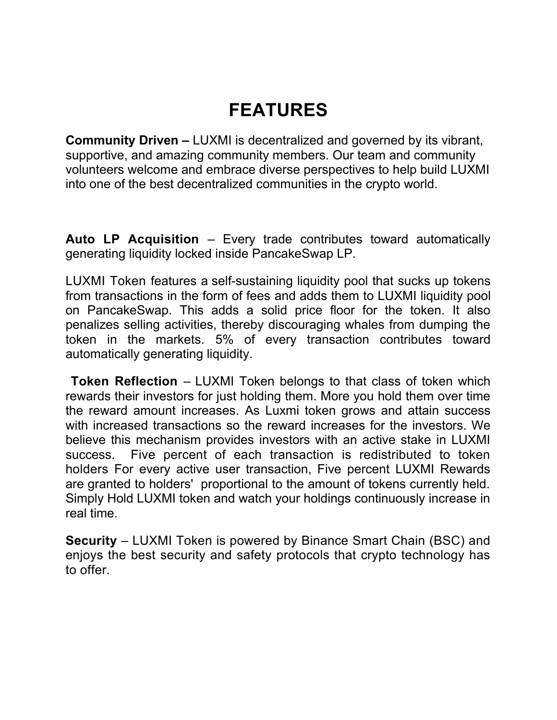# **FEATURES**

**Community Driven –** LUXMI is decentralized and governed by its vibrant, supportive, and amazing community members. Our team and community volunteers welcome and embrace diverse perspectives to help build LUXMI into one of the best decentralized communities in the crypto world.

**Auto LP Acquisition** – Every trade contributes toward automatically generating liquidity locked inside PancakeSwap LP.

LUXMI Token features a self-sustaining liquidity pool that sucks up tokens from transactions in the form of fees and adds them to LUXMI liquidity pool on PancakeSwap. This adds a solid price floor for the token. It also penalizes selling activities, thereby discouraging whales from dumping the token in the markets. 5% of every transaction contributes toward automatically generating liquidity.

 **Token Reflection** – LUXMI Token belongs to that class of token which rewards their investors for just holding them. More you hold them over time the reward amount increases. As Luxmi token grows and attain success with increased transactions so the reward increases for the investors. We believe this mechanism provides investors with an active stake in LUXMI success. Five percent of each transaction is redistributed to token holders For every active user transaction, Five percent LUXMI Rewards are granted to holders' proportional to the amount of tokens currently held. Simply Hold LUXMI token and watch your holdings continuously increase in real time.

**Security** – LUXMI Token is powered by Binance Smart Chain (BSC) and enjoys the best security and safety protocols that crypto technology has to offer.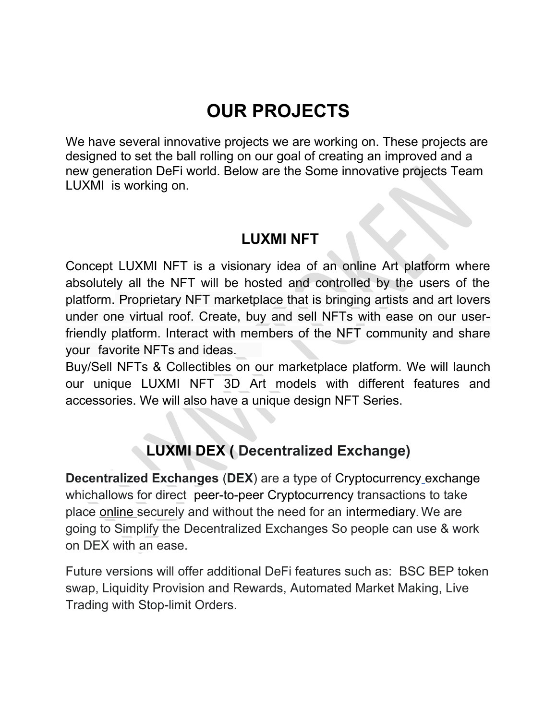# **OUR PROJECTS**

We have several innovative projects we are working on. These projects are designed to set the ball rolling on our goal of creating an improved and a new generation DeFi world. Below are the Some innovative projects Team LUXMI is working on.

#### **LUXMI NFT**

Concept LUXMI NFT is a visionary idea of an online Art platform where absolutely all the NFT will be hosted and controlled by the users of the platform. Proprietary NFT marketplace that is bringing artists and art lovers under one virtual roof. Create, buy and sell NFTs with ease on our userfriendly platform. Interact with members of the NFT community and share your favorite NFTs and ideas.

Buy/Sell NFTs & Collectibles on our marketplace platform. We will launch our unique LUXMI NFT 3D Art models with different features and accessories. We will also have a unique design NFT Series.

#### **LUXMI DEX ( Decentralized Exchange)**

**Decentralized Exchanges** (**DEX**) are a type of [Cryptocurrency](https://en.wikipedia.org/wiki/Cryptocurrency_exchange) exchange whichallows for direct [peer-to-peer](https://en.wikipedia.org/wiki/Peer-to-peer) [Cryptocurrency](https://en.wikipedia.org/wiki/Cryptocurrency) transactions to take place [online](https://en.wikipedia.org/wiki/Online) securely and without the need for an [intermediary](https://en.wikipedia.org/wiki/Intermediary). We are going to Simplify the Decentralized Exchanges So people can use & work on DEX with an ease.

Future versions will offer additional DeFi features such as: BSC BEP token swap, Liquidity Provision and Rewards, Automated Market Making, Live Trading with Stop-limit Orders.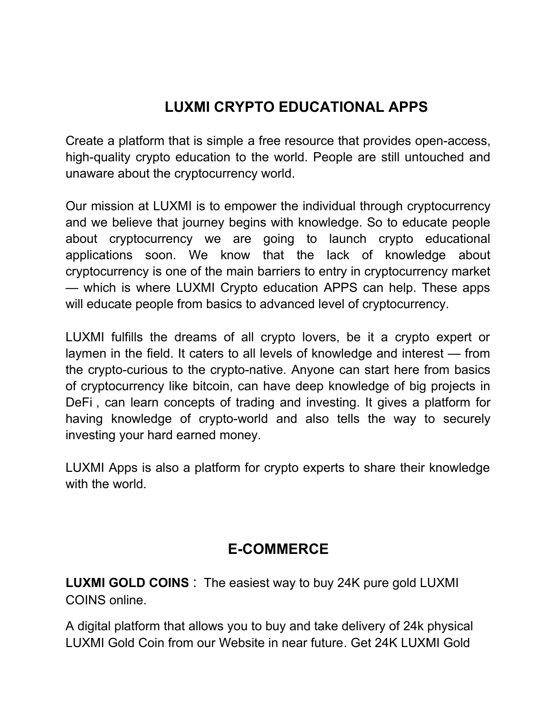#### **LUXMI CRYPTO EDUCATIONAL APPS**

Create a platform that is simple a free resource that provides open-access, high-quality crypto education to the world. People are still untouched and unaware about the cryptocurrency world.

Our mission at LUXMI is to empower the individual through cryptocurrency and we believe that journey begins with knowledge. So to educate people about cryptocurrency we are going to launch crypto educational applications soon. We know that the lack of knowledge about cryptocurrency is one of the main barriers to entry in cryptocurrency market — which is where LUXMI Crypto education APPS can help. These apps will educate people from basics to advanced level of cryptocurrency.

LUXMI fulfills the dreams of all crypto lovers, be it a crypto expert or laymen in the field. It caters to all levels of knowledge and interest — from the crypto-curious to the crypto-native. Anyone can start here from basics of cryptocurrency like bitcoin, can have deep knowledge of big projects in DeFi , can learn concepts of trading and investing. It gives a platform for having knowledge of crypto-world and also tells the way to securely investing your hard earned money.

LUXMI Apps is also a platform for crypto experts to share their knowledge with the world.

#### **E-COMMERCE**

**LUXMI GOLD COINS** : The easiest way to buy 24K pure gold LUXMI COINS online.

A digital platform that allows you to buy and take delivery of 24k physical LUXMI Gold Coin from our Website in near future. Get 24K LUXMI Gold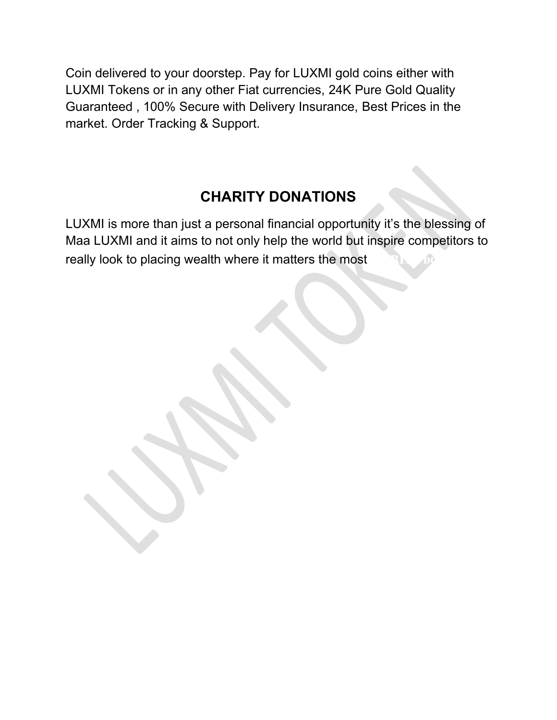Coin delivered to your doorstep. Pay for LUXMI gold coins either with LUXMI Tokens or in any other Fiat currencies, 24K Pure Gold Quality Guaranteed , 100% Secure with Delivery Insurance, Best Prices in the market. Order Tracking & Support.

#### **CHARITY DONATIONS**

LUXMI is more than just a personal financial opportunity it's the blessing of Maa LUXMI and it aims to not only help the world but inspire competitors to really look to placing wealth where it matters the most.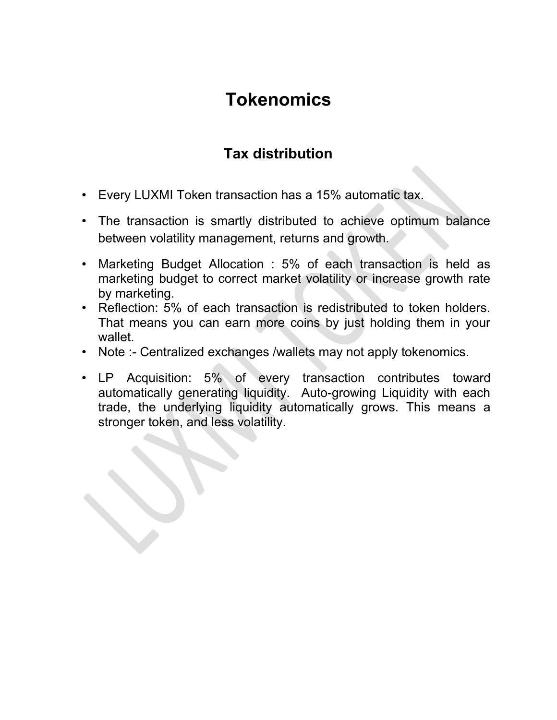## **Tokenomics**

#### **Tax distribution**

- Every LUXMI Token transaction has a 15% automatic tax.
- The transaction is smartly distributed to achieve optimum balance between volatility management, returns and growth.
- Marketing Budget Allocation : 5% of each transaction is held as marketing budget to correct market volatility or increase growth rate by marketing.
- Reflection: 5% of each transaction is redistributed to token holders. That means you can earn more coins by just holding them in your wallet.
- Note :- Centralized exchanges /wallets may not apply tokenomics.
- LP Acquisition: 5% of every transaction contributes toward automatically generating liquidity. Auto-growing Liquidity with each trade, the underlying liquidity automatically grows. This means a stronger token, and less volatility.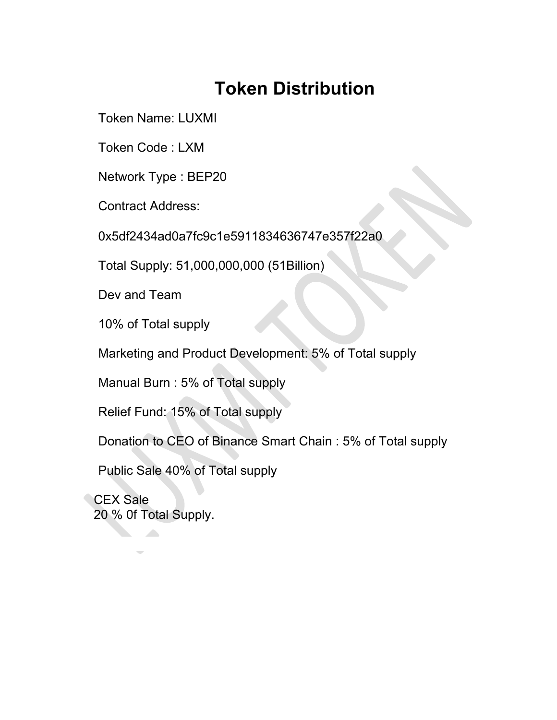### **Token Distribution**

Token Name: LUXMI

Token Code : LXM

Network Type : BEP20

Contract Address:

0x5df2434ad0a7fc9c1e5911834636747e357f22a0

Total Supply: 51,000,000,000 (51Billion)

Dev and Team

10% of Total supply

Marketing and Product Development: 5% of Total supply

Manual Burn : 5% of Total supply

Relief Fund: 15% of Total supply

Donation to CEO of Binance Smart Chain : 5% of Total supply

Public Sale 40% of Total supply

 CEX Sale 20 % 0f Total Supply.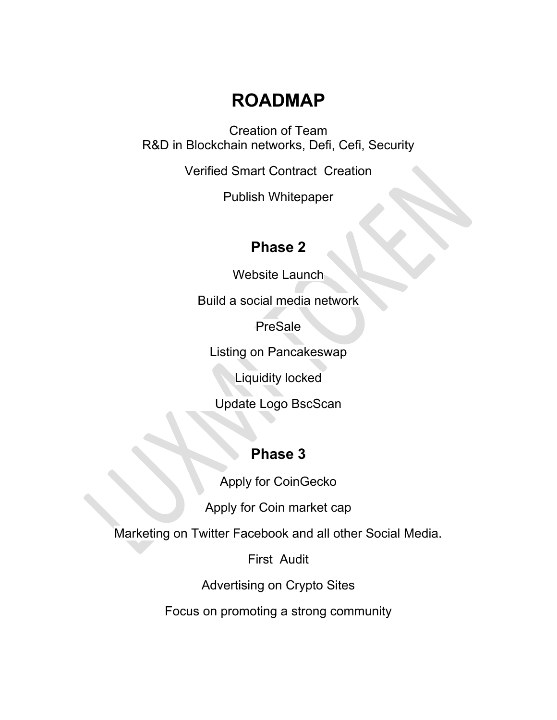### **ROADMAP**

Creation of Team R&D in Blockchain networks, Defi, Cefi, Security

Verified Smart Contract Creation

Publish Whitepaper

#### **Phase 2**

Website Launch

Build a social media network

**PreSale** 

Listing on Pancakeswap

Liquidity locked

Update Logo BscScan

#### **Phase 3**

Apply for CoinGecko

Apply for Coin market cap

Marketing on Twitter Facebook and all other Social Media.

First Audit

Advertising on Crypto Sites

Focus on promoting a strong community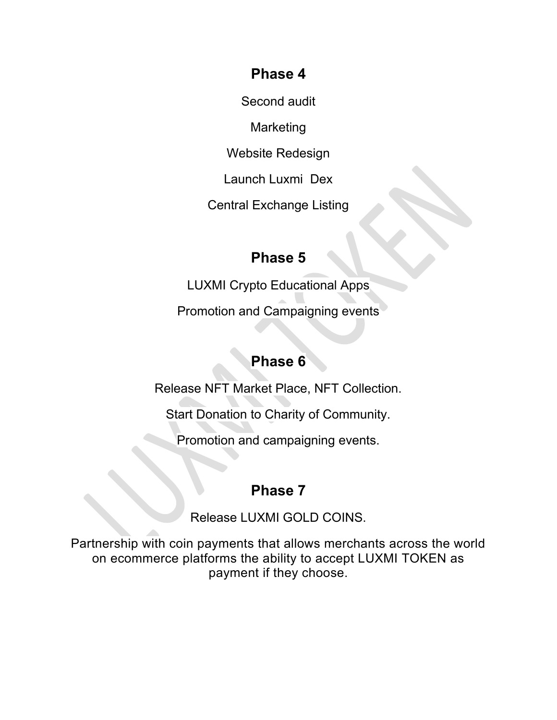#### **Phase 4**

Second audit

Marketing

Website Redesign

Launch Luxmi Dex

Central Exchange Listing

#### **Phase 5**

LUXMI Crypto Educational Apps

Promotion and Campaigning events

#### **Phase 6**

Release NFT Market Place, NFT Collection.

Start Donation to Charity of Community.

Promotion and campaigning events.

#### **Phase 7**

Release LUXMI GOLD COINS.

Partnership with coin payments that allows merchants across the world on ecommerce platforms the ability to accept LUXMI TOKEN as payment if they choose.